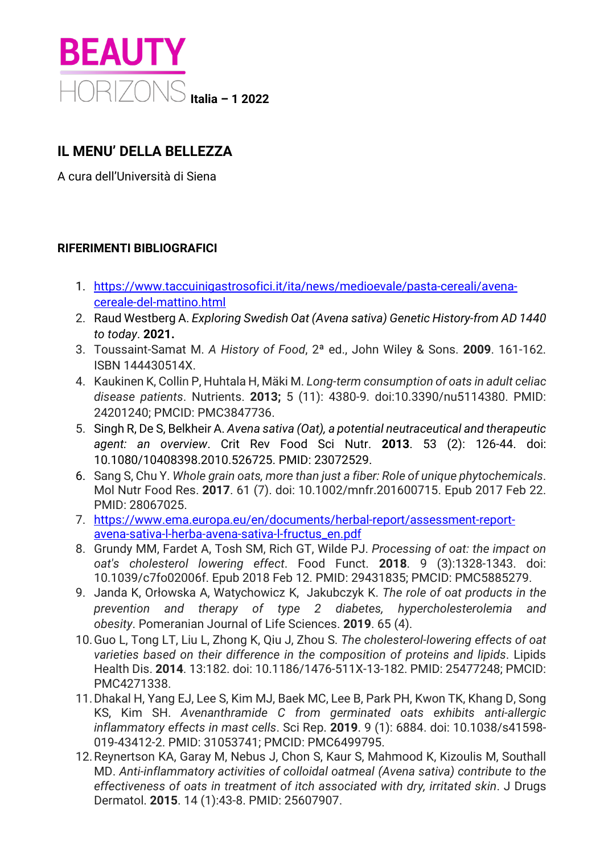

## **IL MENU' DELLA BELLEZZA**

A cura dell'Università di Siena

## **RIFERIMENTI BIBLIOGRAFICI**

- 1. [https://www.taccuinigastrosofici.it/ita/news/medioevale/pasta-cereali/avena](https://www.taccuinigastrosofici.it/ita/news/medioevale/pasta-cereali/avena-cereale-del-mattino.html)[cereale-del-mattino.html](https://www.taccuinigastrosofici.it/ita/news/medioevale/pasta-cereali/avena-cereale-del-mattino.html)
- 2. Raud Westberg A. *Exploring Swedish Oat (Avena sativa) Genetic History-from AD 1440 to today*. **2021.**
- 3. Toussaint-Samat M. *A History of Food*, 2ª ed., John Wiley & Sons. **2009**. 161-162. ISBN 144430514X.
- 4. Kaukinen K, Collin P, Huhtala H, Mäki M. *Long-term consumption of oats in adult celiac disease patients*. Nutrients. **2013;** 5 (11): 4380-9. doi:10.3390/nu5114380. PMID: 24201240; PMCID: PMC3847736.
- 5. Singh R, De S, Belkheir A. *Avena sativa (Oat), a potential neutraceutical and therapeutic agent: an overview*. Crit Rev Food Sci Nutr. **2013**. 53 (2): 126-44. doi: 10.1080/10408398.2010.526725. PMID: 23072529.
- 6. Sang S, Chu Y. *Whole grain oats, more than just a fiber: Role of unique phytochemicals*. Mol Nutr Food Res. **2017**. 61 (7). doi: 10.1002/mnfr.201600715. Epub 2017 Feb 22. PMID: 28067025.
- 7. [https://www.ema.europa.eu/en/documents/herbal-report/assessment-report](https://www.ema.europa.eu/en/documents/herbal-report/assessment-report-avena-sativa-l-herba-avena-sativa-l-fructus_en.pdf)[avena-sativa-l-herba-avena-sativa-l-fructus\\_en.pdf](https://www.ema.europa.eu/en/documents/herbal-report/assessment-report-avena-sativa-l-herba-avena-sativa-l-fructus_en.pdf)
- 8. Grundy MM, Fardet A, Tosh SM, Rich GT, Wilde PJ. *Processing of oat: the impact on oat's cholesterol lowering effect*. Food Funct. **2018**. 9 (3):1328-1343. doi: 10.1039/c7fo02006f. Epub 2018 Feb 12. PMID: 29431835; PMCID: PMC5885279.
- 9. Janda K, Orłowska A, Watychowicz K, Jakubczyk K. *The role of oat products in the prevention and therapy of type 2 diabetes, hypercholesterolemia and obesity*. Pomeranian Journal of Life Sciences. **2019**. 65 (4).
- 10.Guo L, Tong LT, Liu L, Zhong K, Qiu J, Zhou S. *The cholesterol-lowering effects of oat varieties based on their difference in the composition of proteins and lipids*. Lipids Health Dis. **2014**. 13:182. doi: 10.1186/1476-511X-13-182. PMID: 25477248; PMCID: PMC4271338.
- 11.Dhakal H, Yang EJ, Lee S, Kim MJ, Baek MC, Lee B, Park PH, Kwon TK, Khang D, Song KS, Kim SH. *Avenanthramide C from germinated oats exhibits anti-allergic inflammatory effects in mast cells*. Sci Rep. **2019**. 9 (1): 6884. doi: 10.1038/s41598- 019-43412-2. PMID: 31053741; PMCID: PMC6499795.
- 12.Reynertson KA, Garay M, Nebus J, Chon S, Kaur S, Mahmood K, Kizoulis M, Southall MD. *Anti-inflammatory activities of colloidal oatmeal (Avena sativa) contribute to the effectiveness of oats in treatment of itch associated with dry, irritated skin*. J Drugs Dermatol. **2015**. 14 (1):43-8. PMID: 25607907.